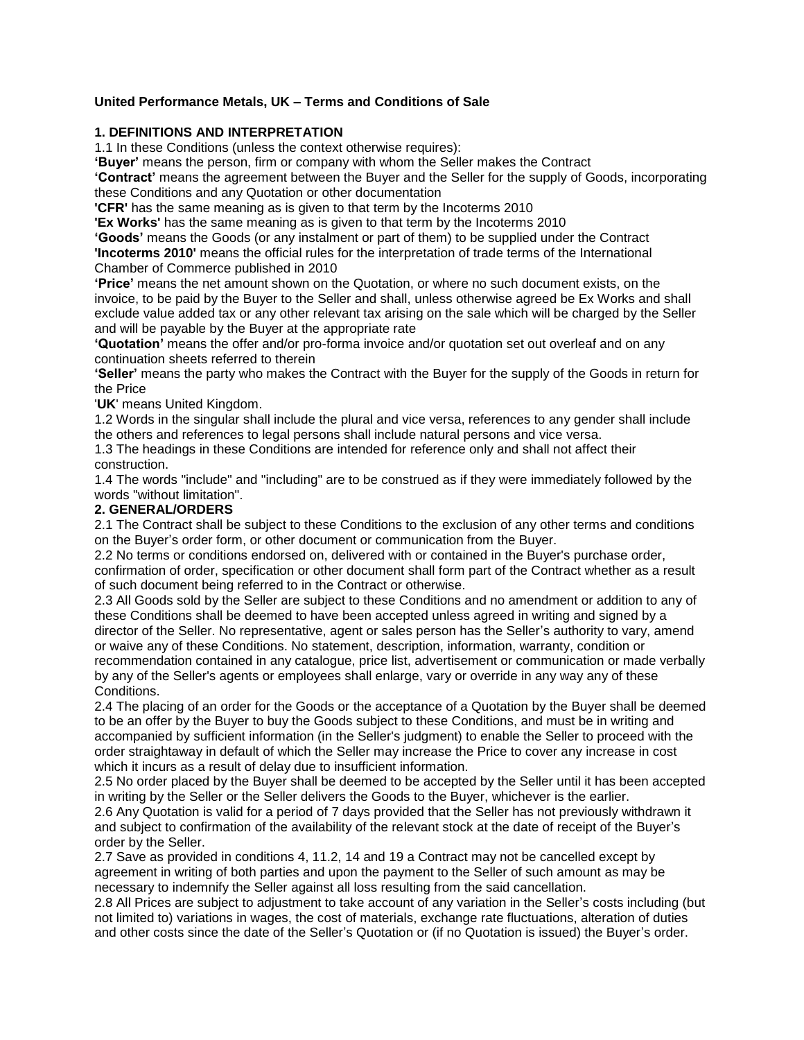# **United Performance Metals, UK – Terms and Conditions of Sale**

# **1. DEFINITIONS AND INTERPRETATION**

1.1 In these Conditions (unless the context otherwise requires):

**'Buyer'** means the person, firm or company with whom the Seller makes the Contract

**'Contract'** means the agreement between the Buyer and the Seller for the supply of Goods, incorporating these Conditions and any Quotation or other documentation

**'CFR'** has the same meaning as is given to that term by the Incoterms 2010

**'Ex Works'** has the same meaning as is given to that term by the Incoterms 2010

**'Goods'** means the Goods (or any instalment or part of them) to be supplied under the Contract **'Incoterms 2010'** means the official rules for the interpretation of trade terms of the International Chamber of Commerce published in 2010

**'Price'** means the net amount shown on the Quotation, or where no such document exists, on the invoice, to be paid by the Buyer to the Seller and shall, unless otherwise agreed be Ex Works and shall exclude value added tax or any other relevant tax arising on the sale which will be charged by the Seller and will be payable by the Buyer at the appropriate rate

**'Quotation'** means the offer and/or pro-forma invoice and/or quotation set out overleaf and on any continuation sheets referred to therein

**'Seller'** means the party who makes the Contract with the Buyer for the supply of the Goods in return for the Price

'**UK**' means United Kingdom.

1.2 Words in the singular shall include the plural and vice versa, references to any gender shall include the others and references to legal persons shall include natural persons and vice versa.

1.3 The headings in these Conditions are intended for reference only and shall not affect their construction.

1.4 The words "include" and "including" are to be construed as if they were immediately followed by the words "without limitation".

### **2. GENERAL/ORDERS**

2.1 The Contract shall be subject to these Conditions to the exclusion of any other terms and conditions on the Buyer's order form, or other document or communication from the Buyer.

2.2 No terms or conditions endorsed on, delivered with or contained in the Buyer's purchase order, confirmation of order, specification or other document shall form part of the Contract whether as a result of such document being referred to in the Contract or otherwise.

2.3 All Goods sold by the Seller are subject to these Conditions and no amendment or addition to any of these Conditions shall be deemed to have been accepted unless agreed in writing and signed by a director of the Seller. No representative, agent or sales person has the Seller's authority to vary, amend or waive any of these Conditions. No statement, description, information, warranty, condition or

recommendation contained in any catalogue, price list, advertisement or communication or made verbally by any of the Seller's agents or employees shall enlarge, vary or override in any way any of these **Conditions** 

2.4 The placing of an order for the Goods or the acceptance of a Quotation by the Buyer shall be deemed to be an offer by the Buyer to buy the Goods subject to these Conditions, and must be in writing and accompanied by sufficient information (in the Seller's judgment) to enable the Seller to proceed with the order straightaway in default of which the Seller may increase the Price to cover any increase in cost which it incurs as a result of delay due to insufficient information.

2.5 No order placed by the Buyer shall be deemed to be accepted by the Seller until it has been accepted in writing by the Seller or the Seller delivers the Goods to the Buyer, whichever is the earlier.

2.6 Any Quotation is valid for a period of 7 days provided that the Seller has not previously withdrawn it and subject to confirmation of the availability of the relevant stock at the date of receipt of the Buyer's order by the Seller.

2.7 Save as provided in conditions 4, 11.2, 14 and 19 a Contract may not be cancelled except by agreement in writing of both parties and upon the payment to the Seller of such amount as may be necessary to indemnify the Seller against all loss resulting from the said cancellation.

2.8 All Prices are subject to adjustment to take account of any variation in the Seller's costs including (but not limited to) variations in wages, the cost of materials, exchange rate fluctuations, alteration of duties and other costs since the date of the Seller's Quotation or (if no Quotation is issued) the Buyer's order.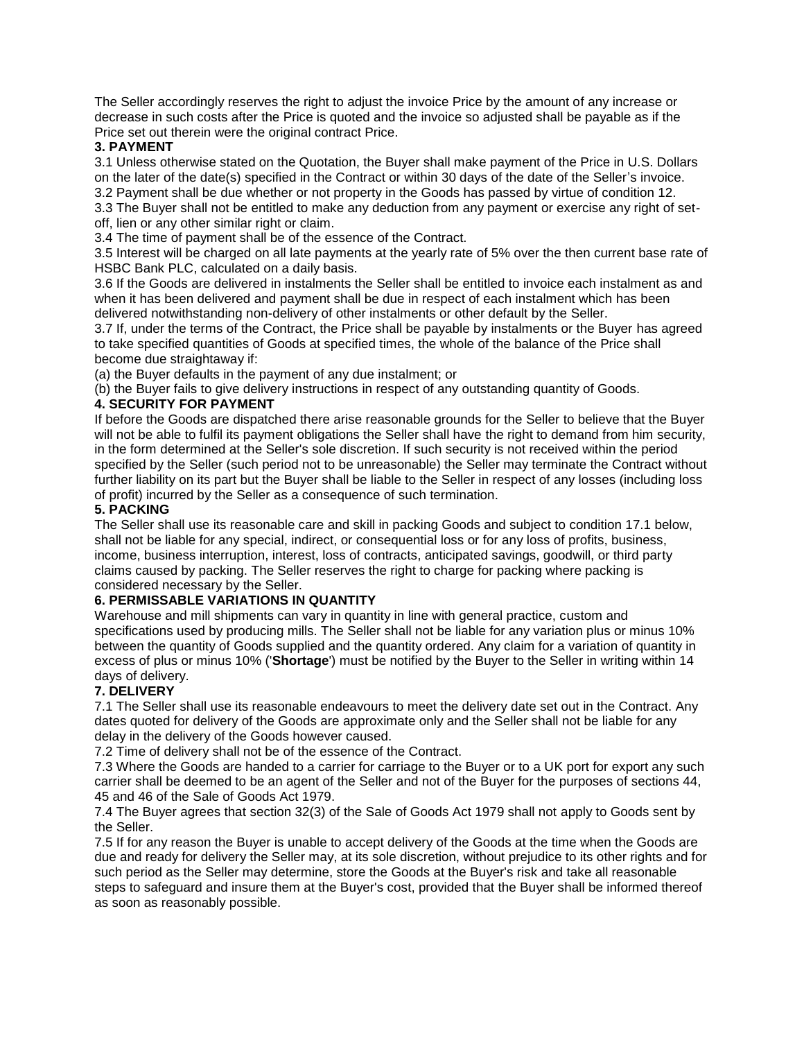The Seller accordingly reserves the right to adjust the invoice Price by the amount of any increase or decrease in such costs after the Price is quoted and the invoice so adjusted shall be payable as if the Price set out therein were the original contract Price.

# **3. PAYMENT**

3.1 Unless otherwise stated on the Quotation, the Buyer shall make payment of the Price in U.S. Dollars on the later of the date(s) specified in the Contract or within 30 days of the date of the Seller's invoice. 3.2 Payment shall be due whether or not property in the Goods has passed by virtue of condition 12.

3.3 The Buyer shall not be entitled to make any deduction from any payment or exercise any right of setoff, lien or any other similar right or claim.

3.4 The time of payment shall be of the essence of the Contract.

3.5 Interest will be charged on all late payments at the yearly rate of 5% over the then current base rate of HSBC Bank PLC, calculated on a daily basis.

3.6 If the Goods are delivered in instalments the Seller shall be entitled to invoice each instalment as and when it has been delivered and payment shall be due in respect of each instalment which has been delivered notwithstanding non-delivery of other instalments or other default by the Seller.

3.7 If, under the terms of the Contract, the Price shall be payable by instalments or the Buyer has agreed to take specified quantities of Goods at specified times, the whole of the balance of the Price shall become due straightaway if:

(a) the Buyer defaults in the payment of any due instalment; or

(b) the Buyer fails to give delivery instructions in respect of any outstanding quantity of Goods.

# **4. SECURITY FOR PAYMENT**

If before the Goods are dispatched there arise reasonable grounds for the Seller to believe that the Buyer will not be able to fulfil its payment obligations the Seller shall have the right to demand from him security, in the form determined at the Seller's sole discretion. If such security is not received within the period specified by the Seller (such period not to be unreasonable) the Seller may terminate the Contract without further liability on its part but the Buyer shall be liable to the Seller in respect of any losses (including loss of profit) incurred by the Seller as a consequence of such termination.

### **5. PACKING**

The Seller shall use its reasonable care and skill in packing Goods and subject to condition 17.1 below, shall not be liable for any special, indirect, or consequential loss or for any loss of profits, business, income, business interruption, interest, loss of contracts, anticipated savings, goodwill, or third party claims caused by packing. The Seller reserves the right to charge for packing where packing is considered necessary by the Seller.

## **6. PERMISSABLE VARIATIONS IN QUANTITY**

Warehouse and mill shipments can vary in quantity in line with general practice, custom and specifications used by producing mills. The Seller shall not be liable for any variation plus or minus 10% between the quantity of Goods supplied and the quantity ordered. Any claim for a variation of quantity in excess of plus or minus 10% ('**Shortage**') must be notified by the Buyer to the Seller in writing within 14 days of delivery.

## **7. DELIVERY**

7.1 The Seller shall use its reasonable endeavours to meet the delivery date set out in the Contract. Any dates quoted for delivery of the Goods are approximate only and the Seller shall not be liable for any delay in the delivery of the Goods however caused.

7.2 Time of delivery shall not be of the essence of the Contract.

7.3 Where the Goods are handed to a carrier for carriage to the Buyer or to a UK port for export any such carrier shall be deemed to be an agent of the Seller and not of the Buyer for the purposes of sections 44, 45 and 46 of the Sale of Goods Act 1979.

7.4 The Buyer agrees that section 32(3) of the Sale of Goods Act 1979 shall not apply to Goods sent by the Seller.

7.5 If for any reason the Buyer is unable to accept delivery of the Goods at the time when the Goods are due and ready for delivery the Seller may, at its sole discretion, without prejudice to its other rights and for such period as the Seller may determine, store the Goods at the Buyer's risk and take all reasonable steps to safeguard and insure them at the Buyer's cost, provided that the Buyer shall be informed thereof as soon as reasonably possible.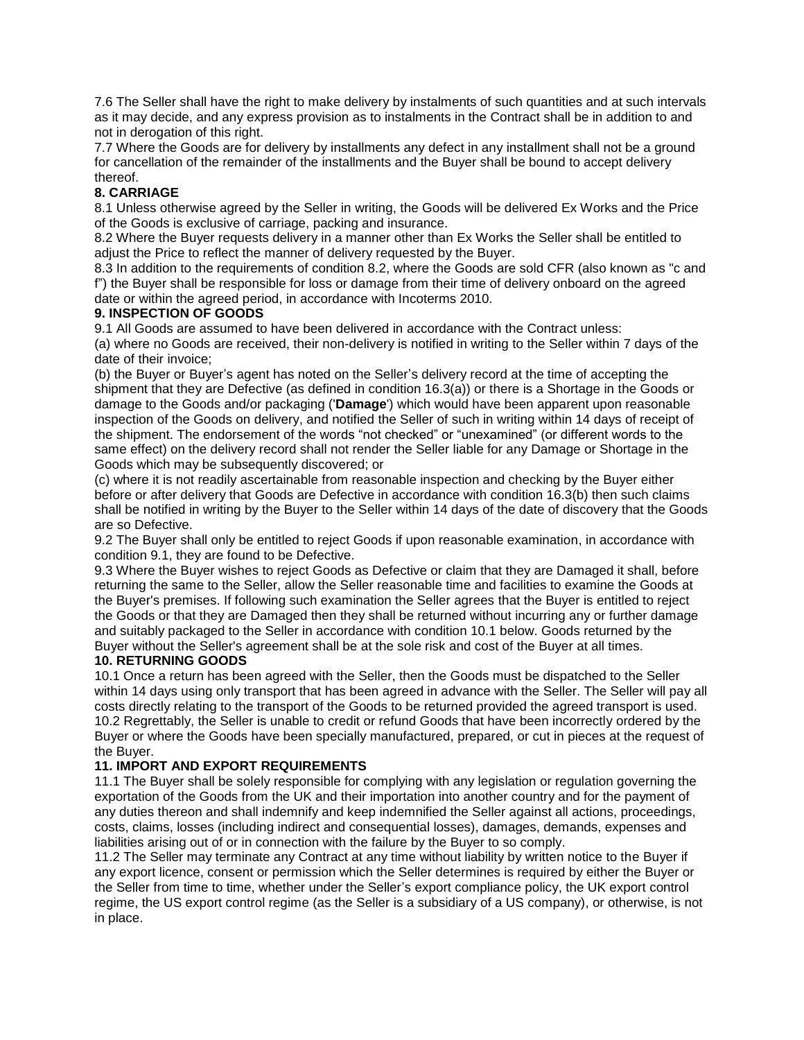7.6 The Seller shall have the right to make delivery by instalments of such quantities and at such intervals as it may decide, and any express provision as to instalments in the Contract shall be in addition to and not in derogation of this right.

7.7 Where the Goods are for delivery by installments any defect in any installment shall not be a ground for cancellation of the remainder of the installments and the Buyer shall be bound to accept delivery thereof.

## **8. CARRIAGE**

8.1 Unless otherwise agreed by the Seller in writing, the Goods will be delivered Ex Works and the Price of the Goods is exclusive of carriage, packing and insurance.

8.2 Where the Buyer requests delivery in a manner other than Ex Works the Seller shall be entitled to adjust the Price to reflect the manner of delivery requested by the Buyer.

8.3 In addition to the requirements of condition 8.2, where the Goods are sold CFR (also known as "c and f") the Buyer shall be responsible for loss or damage from their time of delivery onboard on the agreed date or within the agreed period, in accordance with Incoterms 2010.

## **9. INSPECTION OF GOODS**

9.1 All Goods are assumed to have been delivered in accordance with the Contract unless:

(a) where no Goods are received, their non-delivery is notified in writing to the Seller within 7 days of the date of their invoice;

(b) the Buyer or Buyer's agent has noted on the Seller's delivery record at the time of accepting the shipment that they are Defective (as defined in condition 16.3(a)) or there is a Shortage in the Goods or damage to the Goods and/or packaging ('**Damage**') which would have been apparent upon reasonable inspection of the Goods on delivery, and notified the Seller of such in writing within 14 days of receipt of the shipment. The endorsement of the words "not checked" or "unexamined" (or different words to the same effect) on the delivery record shall not render the Seller liable for any Damage or Shortage in the Goods which may be subsequently discovered; or

(c) where it is not readily ascertainable from reasonable inspection and checking by the Buyer either before or after delivery that Goods are Defective in accordance with condition 16.3(b) then such claims shall be notified in writing by the Buyer to the Seller within 14 days of the date of discovery that the Goods are so Defective.

9.2 The Buyer shall only be entitled to reject Goods if upon reasonable examination, in accordance with condition 9.1, they are found to be Defective.

9.3 Where the Buyer wishes to reject Goods as Defective or claim that they are Damaged it shall, before returning the same to the Seller, allow the Seller reasonable time and facilities to examine the Goods at the Buyer's premises. If following such examination the Seller agrees that the Buyer is entitled to reject the Goods or that they are Damaged then they shall be returned without incurring any or further damage and suitably packaged to the Seller in accordance with condition 10.1 below. Goods returned by the Buyer without the Seller's agreement shall be at the sole risk and cost of the Buyer at all times.

#### **10. RETURNING GOODS**

10.1 Once a return has been agreed with the Seller, then the Goods must be dispatched to the Seller within 14 days using only transport that has been agreed in advance with the Seller. The Seller will pay all costs directly relating to the transport of the Goods to be returned provided the agreed transport is used. 10.2 Regrettably, the Seller is unable to credit or refund Goods that have been incorrectly ordered by the Buyer or where the Goods have been specially manufactured, prepared, or cut in pieces at the request of the Buyer.

## **11. IMPORT AND EXPORT REQUIREMENTS**

11.1 The Buyer shall be solely responsible for complying with any legislation or regulation governing the exportation of the Goods from the UK and their importation into another country and for the payment of any duties thereon and shall indemnify and keep indemnified the Seller against all actions, proceedings, costs, claims, losses (including indirect and consequential losses), damages, demands, expenses and liabilities arising out of or in connection with the failure by the Buyer to so comply.

11.2 The Seller may terminate any Contract at any time without liability by written notice to the Buyer if any export licence, consent or permission which the Seller determines is required by either the Buyer or the Seller from time to time, whether under the Seller's export compliance policy, the UK export control regime, the US export control regime (as the Seller is a subsidiary of a US company), or otherwise, is not in place.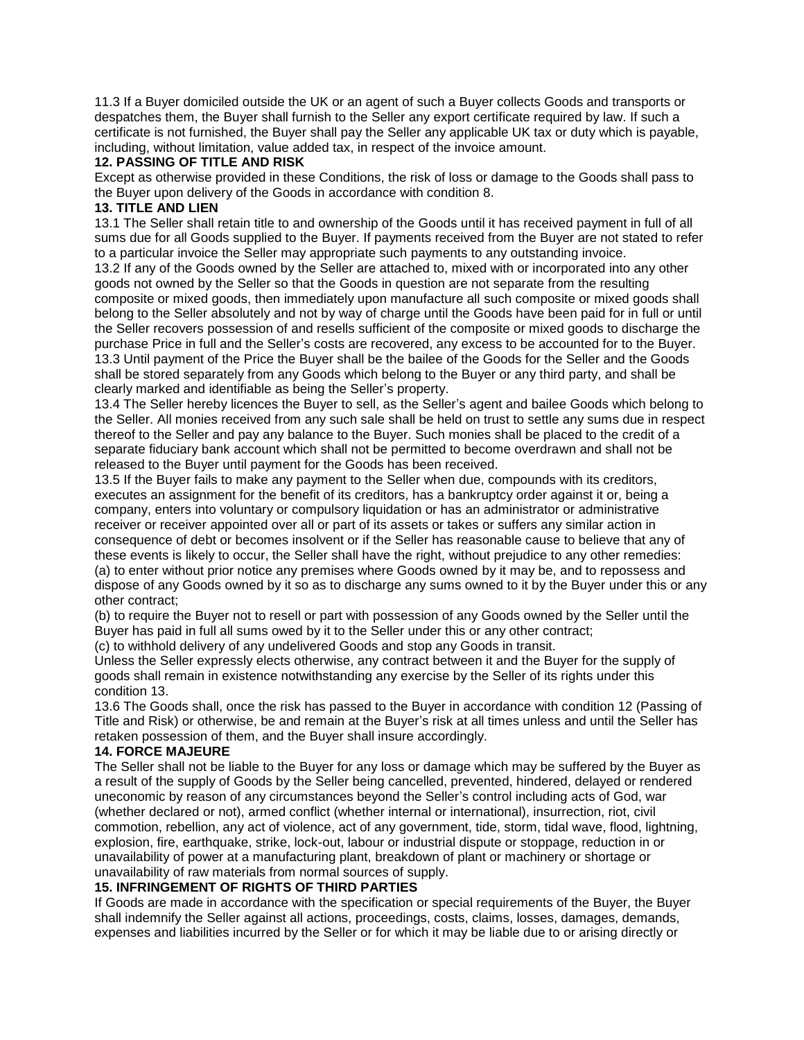11.3 If a Buyer domiciled outside the UK or an agent of such a Buyer collects Goods and transports or despatches them, the Buyer shall furnish to the Seller any export certificate required by law. If such a certificate is not furnished, the Buyer shall pay the Seller any applicable UK tax or duty which is payable, including, without limitation, value added tax, in respect of the invoice amount.

#### **12. PASSING OF TITLE AND RISK**

Except as otherwise provided in these Conditions, the risk of loss or damage to the Goods shall pass to the Buyer upon delivery of the Goods in accordance with condition 8.

# **13. TITLE AND LIEN**

13.1 The Seller shall retain title to and ownership of the Goods until it has received payment in full of all sums due for all Goods supplied to the Buyer. If payments received from the Buyer are not stated to refer to a particular invoice the Seller may appropriate such payments to any outstanding invoice.

13.2 If any of the Goods owned by the Seller are attached to, mixed with or incorporated into any other goods not owned by the Seller so that the Goods in question are not separate from the resulting composite or mixed goods, then immediately upon manufacture all such composite or mixed goods shall belong to the Seller absolutely and not by way of charge until the Goods have been paid for in full or until the Seller recovers possession of and resells sufficient of the composite or mixed goods to discharge the purchase Price in full and the Seller's costs are recovered, any excess to be accounted for to the Buyer. 13.3 Until payment of the Price the Buyer shall be the bailee of the Goods for the Seller and the Goods shall be stored separately from any Goods which belong to the Buyer or any third party, and shall be clearly marked and identifiable as being the Seller's property.

13.4 The Seller hereby licences the Buyer to sell, as the Seller's agent and bailee Goods which belong to the Seller. All monies received from any such sale shall be held on trust to settle any sums due in respect thereof to the Seller and pay any balance to the Buyer. Such monies shall be placed to the credit of a separate fiduciary bank account which shall not be permitted to become overdrawn and shall not be released to the Buyer until payment for the Goods has been received.

13.5 If the Buyer fails to make any payment to the Seller when due, compounds with its creditors, executes an assignment for the benefit of its creditors, has a bankruptcy order against it or, being a company, enters into voluntary or compulsory liquidation or has an administrator or administrative receiver or receiver appointed over all or part of its assets or takes or suffers any similar action in consequence of debt or becomes insolvent or if the Seller has reasonable cause to believe that any of these events is likely to occur, the Seller shall have the right, without prejudice to any other remedies: (a) to enter without prior notice any premises where Goods owned by it may be, and to repossess and dispose of any Goods owned by it so as to discharge any sums owned to it by the Buyer under this or any other contract;

(b) to require the Buyer not to resell or part with possession of any Goods owned by the Seller until the Buyer has paid in full all sums owed by it to the Seller under this or any other contract; (c) to withhold delivery of any undelivered Goods and stop any Goods in transit.

Unless the Seller expressly elects otherwise, any contract between it and the Buyer for the supply of goods shall remain in existence notwithstanding any exercise by the Seller of its rights under this condition 13.

13.6 The Goods shall, once the risk has passed to the Buyer in accordance with condition 12 (Passing of Title and Risk) or otherwise, be and remain at the Buyer's risk at all times unless and until the Seller has retaken possession of them, and the Buyer shall insure accordingly.

## **14. FORCE MAJEURE**

The Seller shall not be liable to the Buyer for any loss or damage which may be suffered by the Buyer as a result of the supply of Goods by the Seller being cancelled, prevented, hindered, delayed or rendered uneconomic by reason of any circumstances beyond the Seller's control including acts of God, war (whether declared or not), armed conflict (whether internal or international), insurrection, riot, civil commotion, rebellion, any act of violence, act of any government, tide, storm, tidal wave, flood, lightning, explosion, fire, earthquake, strike, lock-out, labour or industrial dispute or stoppage, reduction in or unavailability of power at a manufacturing plant, breakdown of plant or machinery or shortage or unavailability of raw materials from normal sources of supply.

## **15. INFRINGEMENT OF RIGHTS OF THIRD PARTIES**

If Goods are made in accordance with the specification or special requirements of the Buyer, the Buyer shall indemnify the Seller against all actions, proceedings, costs, claims, losses, damages, demands, expenses and liabilities incurred by the Seller or for which it may be liable due to or arising directly or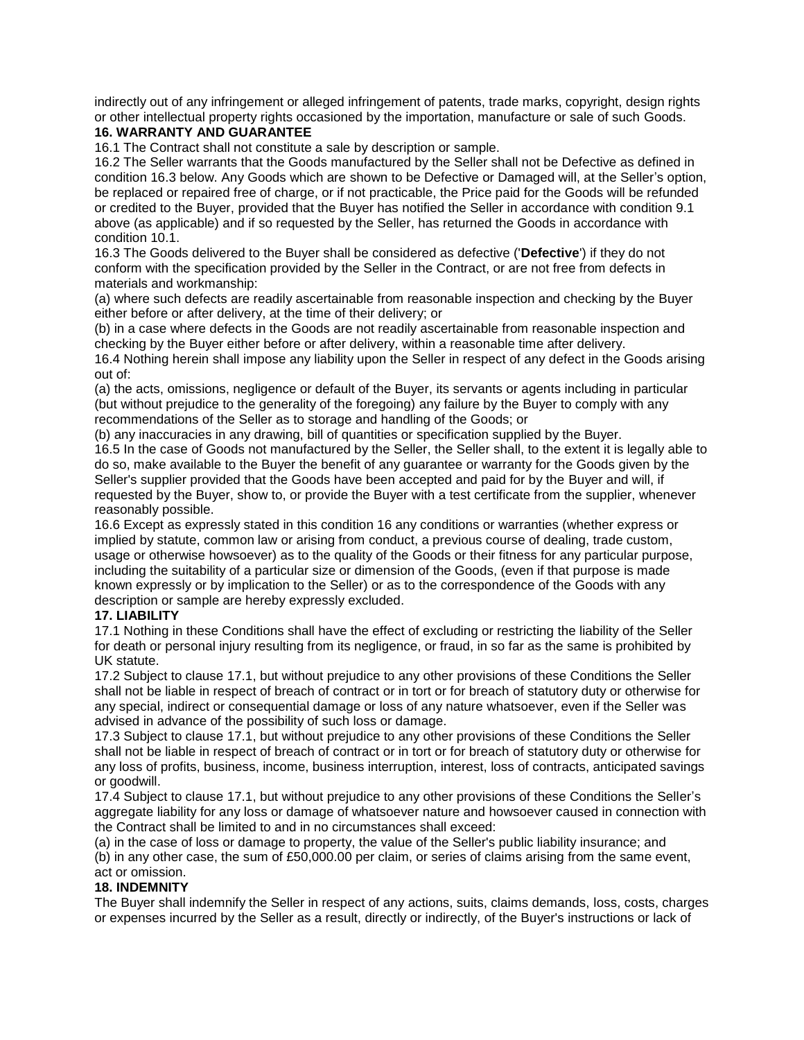indirectly out of any infringement or alleged infringement of patents, trade marks, copyright, design rights or other intellectual property rights occasioned by the importation, manufacture or sale of such Goods.

# **16. WARRANTY AND GUARANTEE**

16.1 The Contract shall not constitute a sale by description or sample.

16.2 The Seller warrants that the Goods manufactured by the Seller shall not be Defective as defined in condition 16.3 below. Any Goods which are shown to be Defective or Damaged will, at the Seller's option, be replaced or repaired free of charge, or if not practicable, the Price paid for the Goods will be refunded or credited to the Buyer, provided that the Buyer has notified the Seller in accordance with condition 9.1 above (as applicable) and if so requested by the Seller, has returned the Goods in accordance with condition 10.1.

16.3 The Goods delivered to the Buyer shall be considered as defective ('**Defective**') if they do not conform with the specification provided by the Seller in the Contract, or are not free from defects in materials and workmanship:

(a) where such defects are readily ascertainable from reasonable inspection and checking by the Buyer either before or after delivery, at the time of their delivery; or

(b) in a case where defects in the Goods are not readily ascertainable from reasonable inspection and checking by the Buyer either before or after delivery, within a reasonable time after delivery. 16.4 Nothing herein shall impose any liability upon the Seller in respect of any defect in the Goods arising

out of:

(a) the acts, omissions, negligence or default of the Buyer, its servants or agents including in particular (but without prejudice to the generality of the foregoing) any failure by the Buyer to comply with any recommendations of the Seller as to storage and handling of the Goods; or

(b) any inaccuracies in any drawing, bill of quantities or specification supplied by the Buyer.

16.5 In the case of Goods not manufactured by the Seller, the Seller shall, to the extent it is legally able to do so, make available to the Buyer the benefit of any guarantee or warranty for the Goods given by the Seller's supplier provided that the Goods have been accepted and paid for by the Buyer and will, if requested by the Buyer, show to, or provide the Buyer with a test certificate from the supplier, whenever reasonably possible.

16.6 Except as expressly stated in this condition 16 any conditions or warranties (whether express or implied by statute, common law or arising from conduct, a previous course of dealing, trade custom, usage or otherwise howsoever) as to the quality of the Goods or their fitness for any particular purpose, including the suitability of a particular size or dimension of the Goods, (even if that purpose is made known expressly or by implication to the Seller) or as to the correspondence of the Goods with any description or sample are hereby expressly excluded.

## **17. LIABILITY**

17.1 Nothing in these Conditions shall have the effect of excluding or restricting the liability of the Seller for death or personal injury resulting from its negligence, or fraud, in so far as the same is prohibited by UK statute.

17.2 Subject to clause 17.1, but without prejudice to any other provisions of these Conditions the Seller shall not be liable in respect of breach of contract or in tort or for breach of statutory duty or otherwise for any special, indirect or consequential damage or loss of any nature whatsoever, even if the Seller was advised in advance of the possibility of such loss or damage.

17.3 Subject to clause 17.1, but without prejudice to any other provisions of these Conditions the Seller shall not be liable in respect of breach of contract or in tort or for breach of statutory duty or otherwise for any loss of profits, business, income, business interruption, interest, loss of contracts, anticipated savings or goodwill.

17.4 Subject to clause 17.1, but without prejudice to any other provisions of these Conditions the Seller's aggregate liability for any loss or damage of whatsoever nature and howsoever caused in connection with the Contract shall be limited to and in no circumstances shall exceed:

(a) in the case of loss or damage to property, the value of the Seller's public liability insurance; and (b) in any other case, the sum of £50,000.00 per claim, or series of claims arising from the same event, act or omission.

## **18. INDEMNITY**

The Buyer shall indemnify the Seller in respect of any actions, suits, claims demands, loss, costs, charges or expenses incurred by the Seller as a result, directly or indirectly, of the Buyer's instructions or lack of